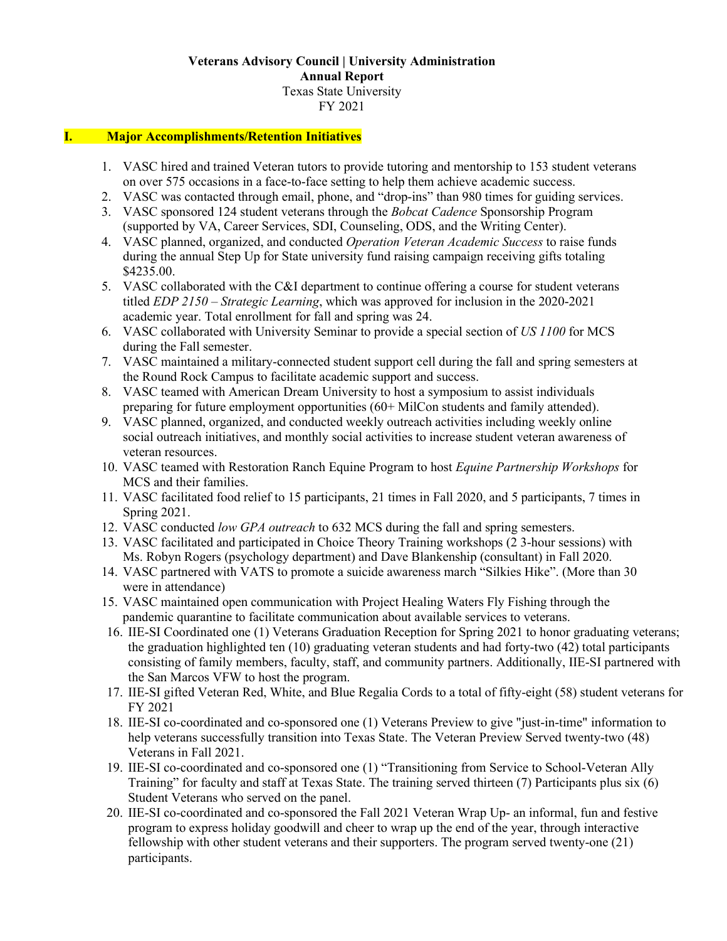### **Veterans Advisory Council | University Administration Annual Report** Texas State University FY 2021

#### **I. Major Accomplishments/Retention Initiatives**

- 1. VASC hired and trained Veteran tutors to provide tutoring and mentorship to 153 student veterans on over 575 occasions in a face-to-face setting to help them achieve academic success.
- 2. VASC was contacted through email, phone, and "drop-ins" than 980 times for guiding services.
- 3. VASC sponsored 124 student veterans through the *Bobcat Cadence* Sponsorship Program (supported by VA, Career Services, SDI, Counseling, ODS, and the Writing Center).
- 4. VASC planned, organized, and conducted *Operation Veteran Academic Success* to raise funds during the annual Step Up for State university fund raising campaign receiving gifts totaling \$4235.00.
- 5. VASC collaborated with the C&I department to continue offering a course for student veterans titled *EDP 2150 – Strategic Learning*, which was approved for inclusion in the 2020-2021 academic year. Total enrollment for fall and spring was 24.
- 6. VASC collaborated with University Seminar to provide a special section of *US 1100* for MCS during the Fall semester.
- 7. VASC maintained a military-connected student support cell during the fall and spring semesters at the Round Rock Campus to facilitate academic support and success.
- 8. VASC teamed with American Dream University to host a symposium to assist individuals preparing for future employment opportunities (60+ MilCon students and family attended).
- 9. VASC planned, organized, and conducted weekly outreach activities including weekly online social outreach initiatives, and monthly social activities to increase student veteran awareness of veteran resources.
- 10. VASC teamed with Restoration Ranch Equine Program to host *Equine Partnership Workshops* for MCS and their families.
- 11. VASC facilitated food relief to 15 participants, 21 times in Fall 2020, and 5 participants, 7 times in Spring 2021.
- 12. VASC conducted *low GPA outreach* to 632 MCS during the fall and spring semesters.
- 13. VASC facilitated and participated in Choice Theory Training workshops (2 3-hour sessions) with Ms. Robyn Rogers (psychology department) and Dave Blankenship (consultant) in Fall 2020.
- 14. VASC partnered with VATS to promote a suicide awareness march "Silkies Hike". (More than 30 were in attendance)
- 15. VASC maintained open communication with Project Healing Waters Fly Fishing through the pandemic quarantine to facilitate communication about available services to veterans.
- 16. IIE-SI Coordinated one (1) Veterans Graduation Reception for Spring 2021 to honor graduating veterans; the graduation highlighted ten (10) graduating veteran students and had forty-two (42) total participants consisting of family members, faculty, staff, and community partners. Additionally, IIE-SI partnered with the San Marcos VFW to host the program.
- 17. IIE-SI gifted Veteran Red, White, and Blue Regalia Cords to a total of fifty-eight (58) student veterans for FY 2021
- 18. IIE-SI co-coordinated and co-sponsored one (1) Veterans Preview to give "just-in-time" information to help veterans successfully transition into Texas State. The Veteran Preview Served twenty-two (48) Veterans in Fall 2021.
- 19. IIE-SI co-coordinated and co-sponsored one (1) "Transitioning from Service to School-Veteran Ally Training" for faculty and staff at Texas State. The training served thirteen (7) Participants plus six (6) Student Veterans who served on the panel.
- 20. IIE-SI co-coordinated and co-sponsored the Fall 2021 Veteran Wrap Up- an informal, fun and festive program to express holiday goodwill and cheer to wrap up the end of the year, through interactive fellowship with other student veterans and their supporters. The program served twenty-one (21) participants.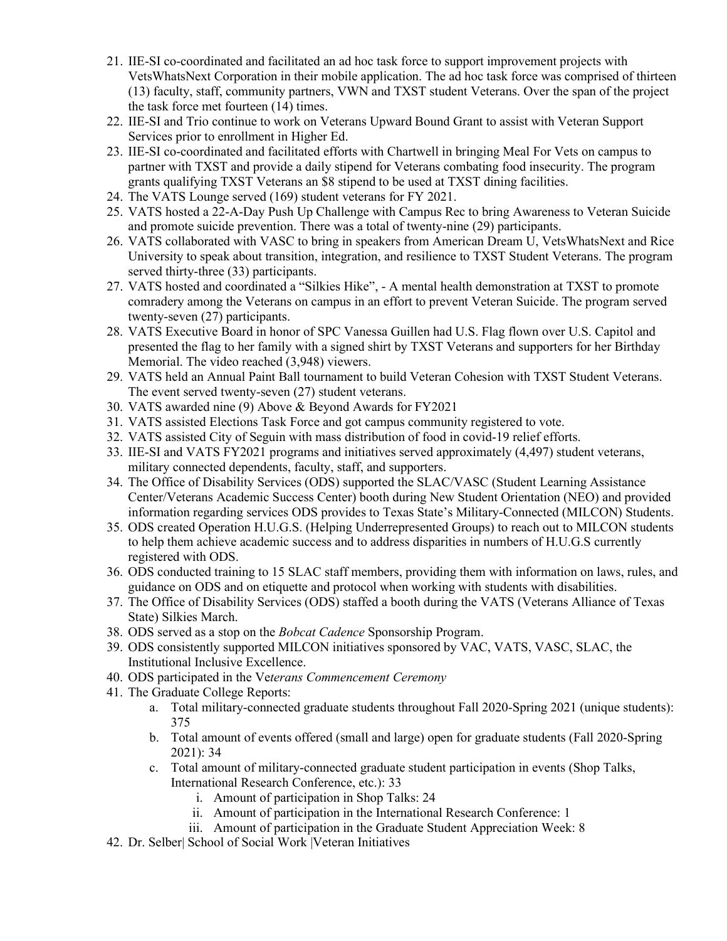- 21. IIE-SI co-coordinated and facilitated an ad hoc task force to support improvement projects with VetsWhatsNext Corporation in their mobile application. The ad hoc task force was comprised of thirteen (13) faculty, staff, community partners, VWN and TXST student Veterans. Over the span of the project the task force met fourteen (14) times.
- 22. IIE-SI and Trio continue to work on Veterans Upward Bound Grant to assist with Veteran Support Services prior to enrollment in Higher Ed.
- 23. IIE-SI co-coordinated and facilitated efforts with Chartwell in bringing Meal For Vets on campus to partner with TXST and provide a daily stipend for Veterans combating food insecurity. The program grants qualifying TXST Veterans an \$8 stipend to be used at TXST dining facilities.
- 24. The VATS Lounge served (169) student veterans for FY 2021.
- 25. VATS hosted a 22-A-Day Push Up Challenge with Campus Rec to bring Awareness to Veteran Suicide and promote suicide prevention. There was a total of twenty-nine (29) participants.
- 26. VATS collaborated with VASC to bring in speakers from American Dream U, VetsWhatsNext and Rice University to speak about transition, integration, and resilience to TXST Student Veterans. The program served thirty-three (33) participants.
- 27. VATS hosted and coordinated a "Silkies Hike", A mental health demonstration at TXST to promote comradery among the Veterans on campus in an effort to prevent Veteran Suicide. The program served twenty-seven (27) participants.
- 28. VATS Executive Board in honor of SPC Vanessa Guillen had U.S. Flag flown over U.S. Capitol and presented the flag to her family with a signed shirt by TXST Veterans and supporters for her Birthday Memorial. The video reached (3,948) viewers.
- 29. VATS held an Annual Paint Ball tournament to build Veteran Cohesion with TXST Student Veterans. The event served twenty-seven (27) student veterans.
- 30. VATS awarded nine (9) Above & Beyond Awards for FY2021
- 31. VATS assisted Elections Task Force and got campus community registered to vote.
- 32. VATS assisted City of Seguin with mass distribution of food in covid-19 relief efforts.
- 33. IIE-SI and VATS FY2021 programs and initiatives served approximately (4,497) student veterans, military connected dependents, faculty, staff, and supporters.
- 34. The Office of Disability Services (ODS) supported the SLAC/VASC (Student Learning Assistance Center/Veterans Academic Success Center) booth during New Student Orientation (NEO) and provided information regarding services ODS provides to Texas State's Military-Connected (MILCON) Students.
- 35. ODS created Operation H.U.G.S. (Helping Underrepresented Groups) to reach out to MILCON students to help them achieve academic success and to address disparities in numbers of H.U.G.S currently registered with ODS.
- 36. ODS conducted training to 15 SLAC staff members, providing them with information on laws, rules, and guidance on ODS and on etiquette and protocol when working with students with disabilities.
- 37. The Office of Disability Services (ODS) staffed a booth during the VATS (Veterans Alliance of Texas State) Silkies March.
- 38. ODS served as a stop on the *Bobcat Cadence* Sponsorship Program.
- 39. ODS consistently supported MILCON initiatives sponsored by VAC, VATS, VASC, SLAC, the Institutional Inclusive Excellence.
- 40. ODS participated in the Ve*terans Commencement Ceremony*
- 41. The Graduate College Reports:
	- a. Total military-connected graduate students throughout Fall 2020-Spring 2021 (unique students): 375
	- b. Total amount of events offered (small and large) open for graduate students (Fall 2020-Spring 2021): 34
	- c. Total amount of military-connected graduate student participation in events (Shop Talks, International Research Conference, etc.): 33
		- i. Amount of participation in Shop Talks: 24
		- ii. Amount of participation in the International Research Conference: 1
		- iii. Amount of participation in the Graduate Student Appreciation Week: 8
- 42. Dr. Selber| School of Social Work |Veteran Initiatives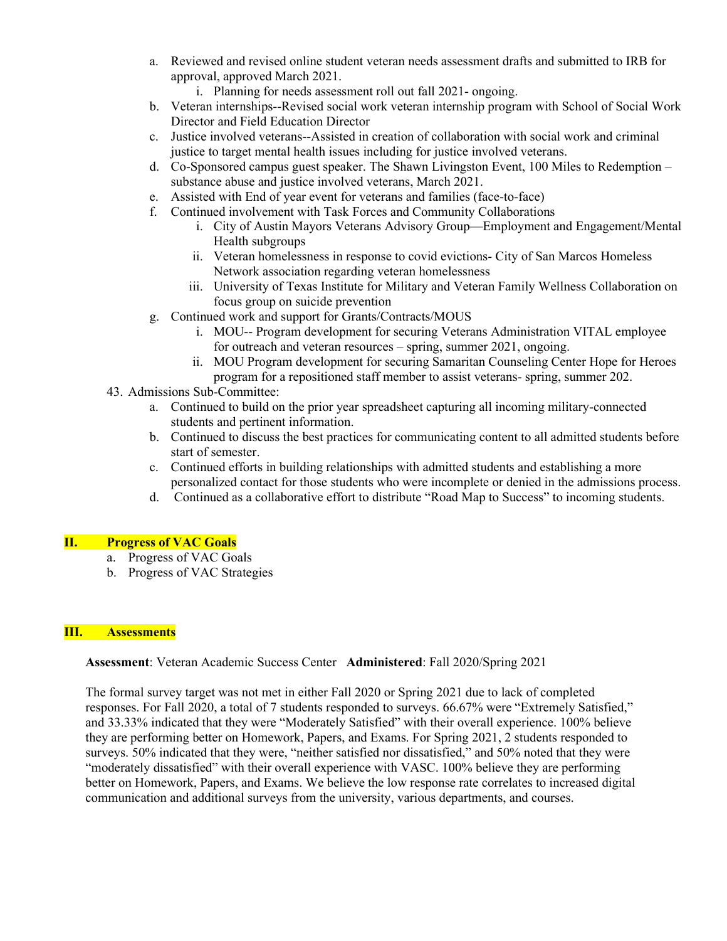- a. Reviewed and revised online student veteran needs assessment drafts and submitted to IRB for approval, approved March 2021.
	- i. Planning for needs assessment roll out fall 2021- ongoing.
- b. Veteran internships--Revised social work veteran internship program with School of Social Work Director and Field Education Director
- c. Justice involved veterans--Assisted in creation of collaboration with social work and criminal justice to target mental health issues including for justice involved veterans.
- d. Co-Sponsored campus guest speaker. The Shawn Livingston Event, 100 Miles to Redemption substance abuse and justice involved veterans, March 2021.
- e. Assisted with End of year event for veterans and families (face-to-face)
- f. Continued involvement with Task Forces and Community Collaborations
	- i. City of Austin Mayors Veterans Advisory Group—Employment and Engagement/Mental Health subgroups
	- ii. Veteran homelessness in response to covid evictions- City of San Marcos Homeless Network association regarding veteran homelessness
	- iii. University of Texas Institute for Military and Veteran Family Wellness Collaboration on focus group on suicide prevention
- g. Continued work and support for Grants/Contracts/MOUS
	- i. MOU-- Program development for securing Veterans Administration VITAL employee for outreach and veteran resources – spring, summer 2021, ongoing.
	- ii. MOU Program development for securing Samaritan Counseling Center Hope for Heroes program for a repositioned staff member to assist veterans- spring, summer 202.
- 43. Admissions Sub-Committee:
	- a. Continued to build on the prior year spreadsheet capturing all incoming military-connected students and pertinent information.
	- b. Continued to discuss the best practices for communicating content to all admitted students before start of semester.
	- c. Continued efforts in building relationships with admitted students and establishing a more personalized contact for those students who were incomplete or denied in the admissions process.
	- d. Continued as a collaborative effort to distribute "Road Map to Success" to incoming students.

### **II. Progress of VAC Goals**

- a. Progress of VAC Goals
- b. Progress of VAC Strategies

### **III. Assessments**

### **Assessment**: Veteran Academic Success Center **Administered**: Fall 2020/Spring 2021

The formal survey target was not met in either Fall 2020 or Spring 2021 due to lack of completed responses. For Fall 2020, a total of 7 students responded to surveys. 66.67% were "Extremely Satisfied," and 33.33% indicated that they were "Moderately Satisfied" with their overall experience. 100% believe they are performing better on Homework, Papers, and Exams. For Spring 2021, 2 students responded to surveys. 50% indicated that they were, "neither satisfied nor dissatisfied," and 50% noted that they were "moderately dissatisfied" with their overall experience with VASC. 100% believe they are performing better on Homework, Papers, and Exams. We believe the low response rate correlates to increased digital communication and additional surveys from the university, various departments, and courses.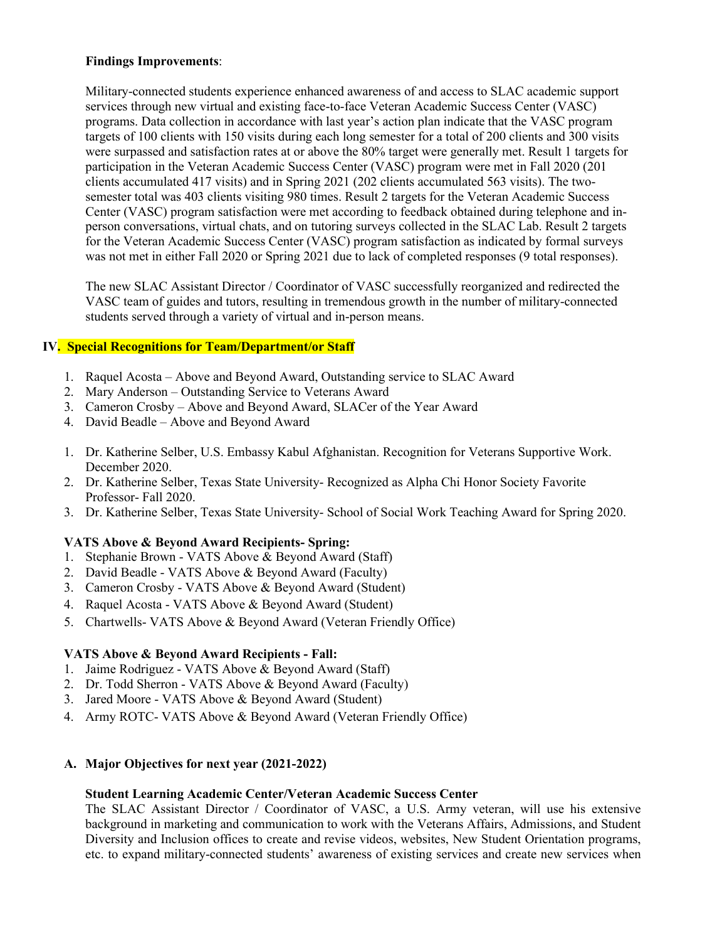### **Findings Improvements**:

Military-connected students experience enhanced awareness of and access to SLAC academic support services through new virtual and existing face-to-face Veteran Academic Success Center (VASC) programs. Data collection in accordance with last year's action plan indicate that the VASC program targets of 100 clients with 150 visits during each long semester for a total of 200 clients and 300 visits were surpassed and satisfaction rates at or above the 80% target were generally met. Result 1 targets for participation in the Veteran Academic Success Center (VASC) program were met in Fall 2020 (201 clients accumulated 417 visits) and in Spring 2021 (202 clients accumulated 563 visits). The twosemester total was 403 clients visiting 980 times. Result 2 targets for the Veteran Academic Success Center (VASC) program satisfaction were met according to feedback obtained during telephone and inperson conversations, virtual chats, and on tutoring surveys collected in the SLAC Lab. Result 2 targets for the Veteran Academic Success Center (VASC) program satisfaction as indicated by formal surveys was not met in either Fall 2020 or Spring 2021 due to lack of completed responses (9 total responses).

The new SLAC Assistant Director / Coordinator of VASC successfully reorganized and redirected the VASC team of guides and tutors, resulting in tremendous growth in the number of military-connected students served through a variety of virtual and in-person means.

# **IV. Special Recognitions for Team/Department/or Staff**

- 1. Raquel Acosta Above and Beyond Award, Outstanding service to SLAC Award
- 2. Mary Anderson Outstanding Service to Veterans Award
- 3. Cameron Crosby Above and Beyond Award, SLACer of the Year Award
- 4. David Beadle Above and Beyond Award
- 1. Dr. Katherine Selber, U.S. Embassy Kabul Afghanistan. Recognition for Veterans Supportive Work. December 2020.
- 2. Dr. Katherine Selber, Texas State University- Recognized as Alpha Chi Honor Society Favorite Professor- Fall 2020.
- 3. Dr. Katherine Selber, Texas State University- School of Social Work Teaching Award for Spring 2020.

# **VATS Above & Beyond Award Recipients- Spring:**

- 1. Stephanie Brown VATS Above & Beyond Award (Staff)
- 2. David Beadle VATS Above & Beyond Award (Faculty)
- 3. Cameron Crosby VATS Above & Beyond Award (Student)
- 4. Raquel Acosta VATS Above & Beyond Award (Student)
- 5. Chartwells- VATS Above & Beyond Award (Veteran Friendly Office)

# **VATS Above & Beyond Award Recipients - Fall:**

- 1. Jaime Rodriguez VATS Above & Beyond Award (Staff)
- 2. Dr. Todd Sherron VATS Above & Beyond Award (Faculty)
- 3. Jared Moore VATS Above & Beyond Award (Student)
- 4. Army ROTC- VATS Above & Beyond Award (Veteran Friendly Office)

# **A. Major Objectives for next year (2021-2022)**

### **Student Learning Academic Center/Veteran Academic Success Center**

The SLAC Assistant Director / Coordinator of VASC, a U.S. Army veteran, will use his extensive background in marketing and communication to work with the Veterans Affairs, Admissions, and Student Diversity and Inclusion offices to create and revise videos, websites, New Student Orientation programs, etc. to expand military-connected students' awareness of existing services and create new services when